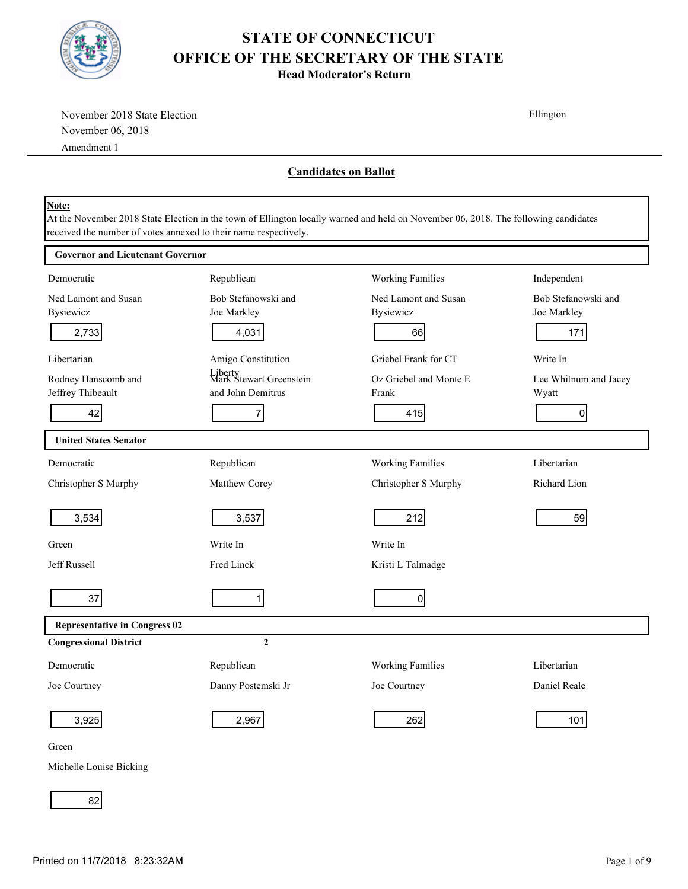

**Head Moderator's Return**

| November 2018 State Election             |                                                                                                                                                                                                         |                                          | Ellington                          |
|------------------------------------------|---------------------------------------------------------------------------------------------------------------------------------------------------------------------------------------------------------|------------------------------------------|------------------------------------|
| November 06, 2018                        |                                                                                                                                                                                                         |                                          |                                    |
| Amendment 1                              |                                                                                                                                                                                                         |                                          |                                    |
|                                          |                                                                                                                                                                                                         | <b>Candidates on Ballot</b>              |                                    |
| Note:                                    | At the November 2018 State Election in the town of Ellington locally warned and held on November 06, 2018. The following candidates<br>received the number of votes annexed to their name respectively. |                                          |                                    |
| <b>Governor and Lieutenant Governor</b>  |                                                                                                                                                                                                         |                                          |                                    |
| Democratic                               | Republican                                                                                                                                                                                              | <b>Working Families</b>                  | Independent                        |
| Ned Lamont and Susan<br><b>Bysiewicz</b> | Bob Stefanowski and<br>Joe Markley                                                                                                                                                                      | Ned Lamont and Susan<br><b>Bysiewicz</b> | Bob Stefanowski and<br>Joe Markley |
| 2,733                                    | 4,031                                                                                                                                                                                                   | 66                                       | 171                                |
| Libertarian                              | Amigo Constitution                                                                                                                                                                                      | Griebel Frank for CT                     | Write In                           |
| Rodney Hanscomb and<br>Jeffrey Thibeault | Liberty<br>Mark Stewart Greenstein<br>and John Demitrus                                                                                                                                                 | Oz Griebel and Monte E<br>Frank          | Lee Whitnum and Jacey<br>Wyatt     |
| 42                                       | 7                                                                                                                                                                                                       | 415                                      | $\overline{0}$                     |
| <b>United States Senator</b>             |                                                                                                                                                                                                         |                                          |                                    |
| Democratic                               | Republican                                                                                                                                                                                              | Working Families                         | Libertarian                        |
| Christopher S Murphy                     | Matthew Corey                                                                                                                                                                                           | Christopher S Murphy                     | Richard Lion                       |
| 3,534                                    | 3,537                                                                                                                                                                                                   | 212                                      | 59                                 |
| Green                                    | Write In                                                                                                                                                                                                | Write In                                 |                                    |
| Jeff Russell                             | Fred Linck                                                                                                                                                                                              | Kristi L Talmadge                        |                                    |
| 37                                       | 1                                                                                                                                                                                                       | $\overline{0}$                           |                                    |
| <b>Representative in Congress 02</b>     |                                                                                                                                                                                                         |                                          |                                    |
| <b>Congressional District</b>            | $\overline{2}$                                                                                                                                                                                          |                                          |                                    |
| Democratic                               | Republican                                                                                                                                                                                              | <b>Working Families</b>                  | Libertarian                        |
| Joe Courtney                             | Danny Postemski Jr                                                                                                                                                                                      | Joe Courtney                             | Daniel Reale                       |
| 3,925                                    | 2,967                                                                                                                                                                                                   | 262                                      | 101                                |
| Green                                    |                                                                                                                                                                                                         |                                          |                                    |

Michelle Louise Bicking

82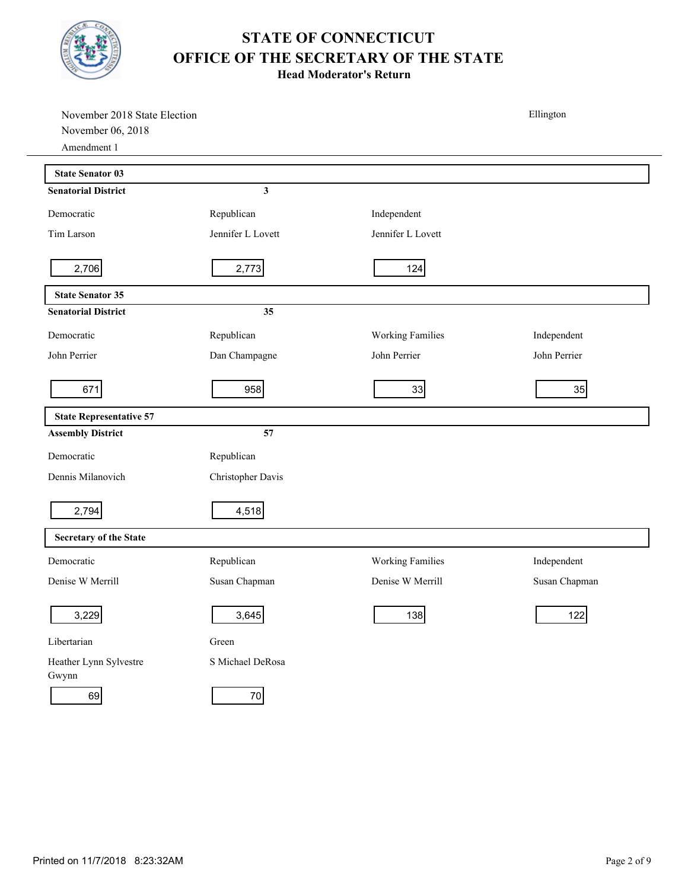

| November 2018 State Election     |                   |                         | Ellington     |
|----------------------------------|-------------------|-------------------------|---------------|
| November 06, 2018<br>Amendment 1 |                   |                         |               |
|                                  |                   |                         |               |
| <b>State Senator 03</b>          |                   |                         |               |
| <b>Senatorial District</b>       | 3                 |                         |               |
| Democratic                       | Republican        | Independent             |               |
| Tim Larson                       | Jennifer L Lovett | Jennifer L Lovett       |               |
| 2,706                            | 2,773             | 124                     |               |
| <b>State Senator 35</b>          |                   |                         |               |
| <b>Senatorial District</b>       | 35                |                         |               |
| Democratic                       | Republican        | <b>Working Families</b> | Independent   |
| John Perrier                     | Dan Champagne     | John Perrier            | John Perrier  |
| 671                              | 958               | 33                      | 35            |
| <b>State Representative 57</b>   |                   |                         |               |
| <b>Assembly District</b>         | 57                |                         |               |
| Democratic                       | Republican        |                         |               |
| Dennis Milanovich                | Christopher Davis |                         |               |
| 2,794                            | 4,518             |                         |               |
| Secretary of the State           |                   |                         |               |
| Democratic                       | Republican        | <b>Working Families</b> | Independent   |
| Denise W Merrill                 | Susan Chapman     | Denise W Merrill        | Susan Chapman |
| 3,229                            | 3,645             | 138                     | 122           |
| Libertarian                      | Green             |                         |               |
| Heather Lynn Sylvestre<br>Gwynn  | S Michael DeRosa  |                         |               |
| 69                               | 70                |                         |               |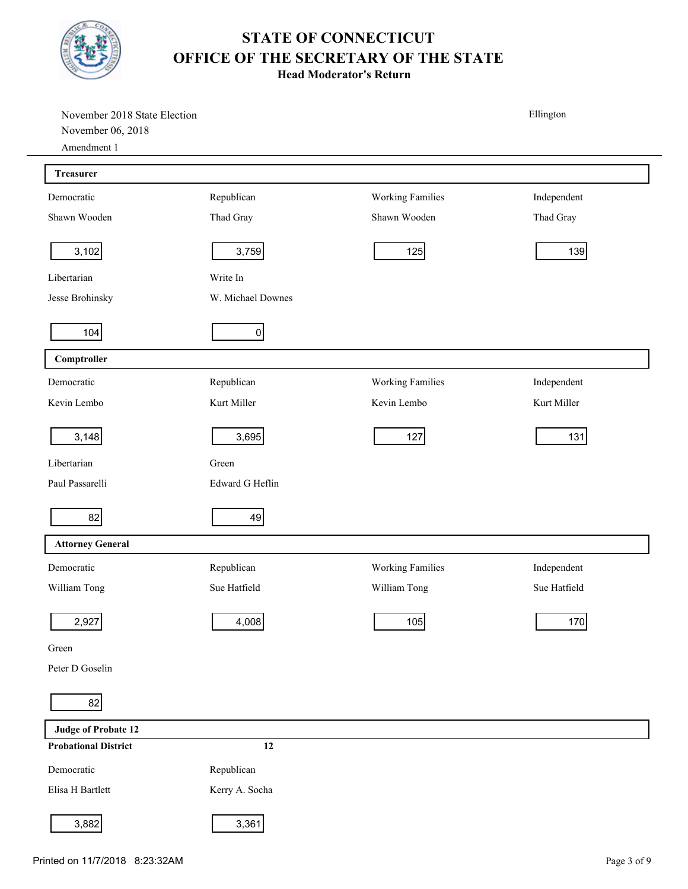

| November 2018 State Election<br>November 06, 2018 |                   |                  | Ellington    |
|---------------------------------------------------|-------------------|------------------|--------------|
| Amendment 1                                       |                   |                  |              |
| <b>Treasurer</b>                                  |                   |                  |              |
| Democratic                                        | Republican        | Working Families | Independent  |
| Shawn Wooden                                      | Thad Gray         | Shawn Wooden     | Thad Gray    |
| 3,102                                             | 3,759             | 125              | 139          |
| Libertarian                                       | Write In          |                  |              |
| Jesse Brohinsky                                   | W. Michael Downes |                  |              |
| 104                                               | 0                 |                  |              |
| Comptroller                                       |                   |                  |              |
| Democratic                                        | Republican        | Working Families | Independent  |
| Kevin Lembo                                       | Kurt Miller       | Kevin Lembo      | Kurt Miller  |
| 3,148                                             | 3,695             | 127              | 131          |
| Libertarian                                       | Green             |                  |              |
| Paul Passarelli                                   | Edward G Heflin   |                  |              |
| 82                                                | 49                |                  |              |
| <b>Attorney General</b>                           |                   |                  |              |
| Democratic                                        | Republican        | Working Families | Independent  |
| William Tong                                      | Sue Hatfield      | William Tong     | Sue Hatfield |
| 2,927                                             | 4,008             | 105              | 170          |
| Green                                             |                   |                  |              |
| Peter D Goselin                                   |                   |                  |              |
| 82                                                |                   |                  |              |
| <b>Judge of Probate 12</b>                        |                   |                  |              |
| <b>Probational District</b>                       | $12\,$            |                  |              |
| Democratic                                        | Republican        |                  |              |
| Elisa H Bartlett                                  | Kerry A. Socha    |                  |              |
| 3,882                                             | 3,361             |                  |              |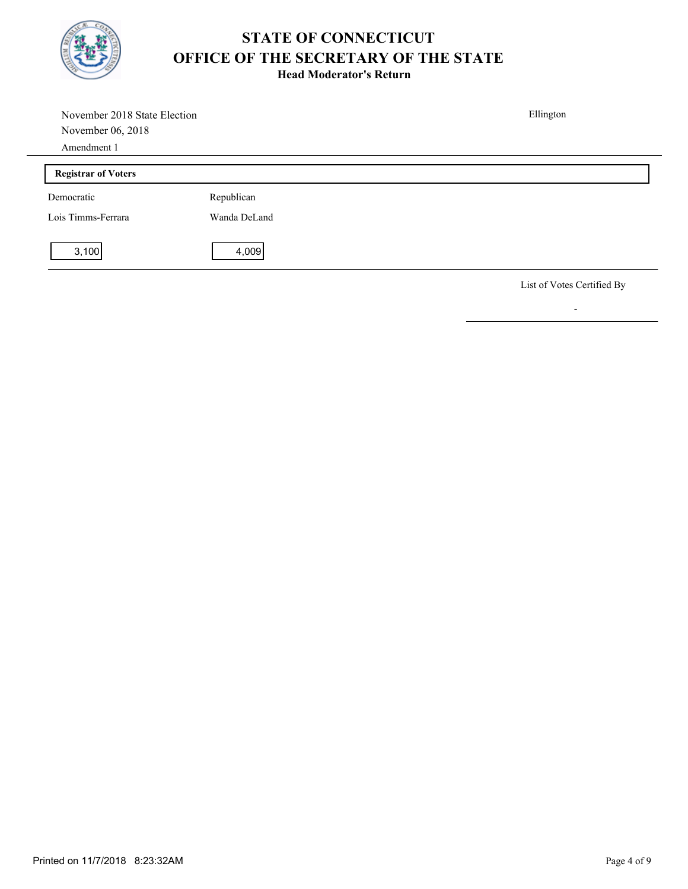

**Head Moderator's Return**

| November 2018 State Election<br>November 06, 2018 |              | Ellington                  |
|---------------------------------------------------|--------------|----------------------------|
| Amendment 1                                       |              |                            |
| <b>Registrar of Voters</b>                        |              |                            |
| Democratic                                        | Republican   |                            |
| Lois Timms-Ferrara                                | Wanda DeLand |                            |
| 3,100                                             | 4,009        |                            |
|                                                   |              | List of Votes Certified By |

-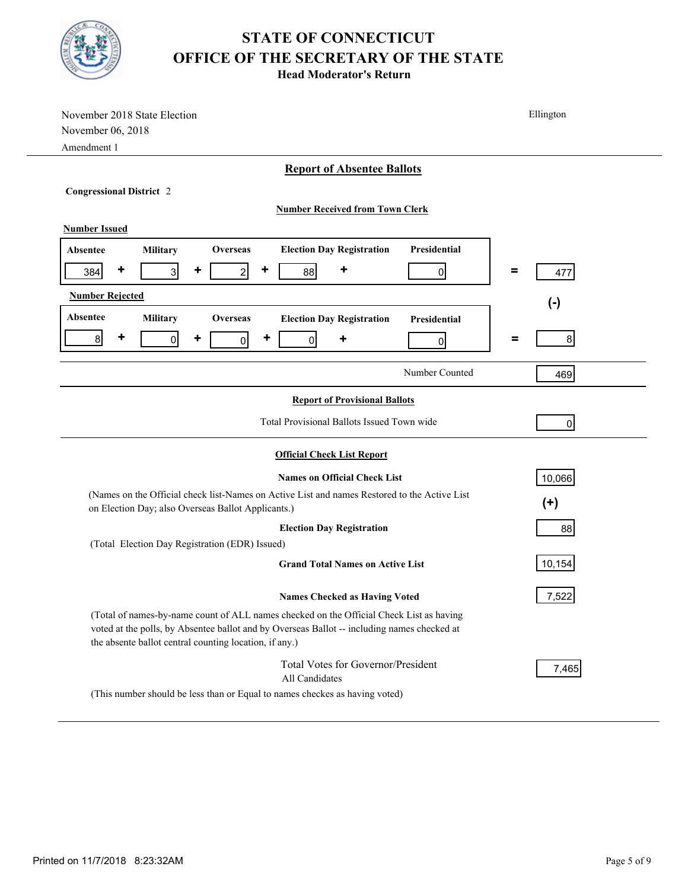

| November 2018 State Election                                                                                                                                                                                                                     | Ellington           |  |
|--------------------------------------------------------------------------------------------------------------------------------------------------------------------------------------------------------------------------------------------------|---------------------|--|
| November 06, 2018                                                                                                                                                                                                                                |                     |  |
| Amendment 1                                                                                                                                                                                                                                      |                     |  |
| <b>Report of Absentee Ballots</b>                                                                                                                                                                                                                |                     |  |
| <b>Congressional District 2</b>                                                                                                                                                                                                                  |                     |  |
| <b>Number Received from Town Clerk</b>                                                                                                                                                                                                           |                     |  |
| <b>Number Issued</b>                                                                                                                                                                                                                             |                     |  |
| <b>Election Day Registration</b><br>Presidential<br>Military<br><b>Overseas</b><br>Absentee                                                                                                                                                      |                     |  |
|                                                                                                                                                                                                                                                  |                     |  |
| ٠<br>٠<br>3 <sup>1</sup><br>٠<br>$\mathbf{2}$<br>384<br>88<br>$\Omega$                                                                                                                                                                           | =<br>477            |  |
| <b>Number Rejected</b>                                                                                                                                                                                                                           | $(-)$               |  |
| Absentee<br>Military<br><b>Overseas</b><br><b>Election Day Registration</b><br>Presidential                                                                                                                                                      |                     |  |
| ٠<br>8 <sup>1</sup><br>٠<br>٠<br>$\overline{0}$<br>$\overline{0}$<br>٠<br>$\overline{0}$<br>0                                                                                                                                                    | 8 <sup>1</sup><br>= |  |
|                                                                                                                                                                                                                                                  |                     |  |
| Number Counted                                                                                                                                                                                                                                   | 469                 |  |
| <b>Report of Provisional Ballots</b>                                                                                                                                                                                                             |                     |  |
| Total Provisional Ballots Issued Town wide                                                                                                                                                                                                       |                     |  |
|                                                                                                                                                                                                                                                  | $\overline{0}$      |  |
| <b>Official Check List Report</b>                                                                                                                                                                                                                |                     |  |
| <b>Names on Official Check List</b>                                                                                                                                                                                                              | 10,066              |  |
| (Names on the Official check list-Names on Active List and names Restored to the Active List                                                                                                                                                     |                     |  |
| on Election Day; also Overseas Ballot Applicants.)                                                                                                                                                                                               | $(+)$               |  |
| <b>Election Day Registration</b>                                                                                                                                                                                                                 | 88                  |  |
| (Total Election Day Registration (EDR) Issued)                                                                                                                                                                                                   |                     |  |
| <b>Grand Total Names on Active List</b>                                                                                                                                                                                                          | 10,154              |  |
| <b>Names Checked as Having Voted</b>                                                                                                                                                                                                             | 7,522               |  |
| (Total of names-by-name count of ALL names checked on the Official Check List as having<br>voted at the polls, by Absentee ballot and by Overseas Ballot -- including names checked at<br>the absente ballot central counting location, if any.) |                     |  |
| Total Votes for Governor/President<br>All Candidates                                                                                                                                                                                             | 7,465               |  |
| (This number should be less than or Equal to names checkes as having voted)                                                                                                                                                                      |                     |  |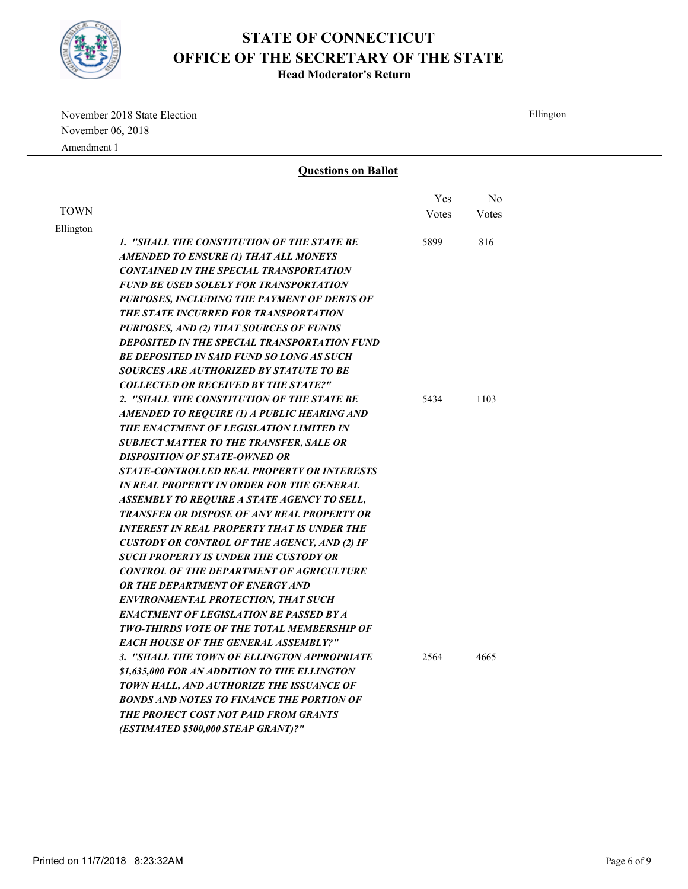

**Head Moderator's Return**

November 2018 State Election November 06, 2018 Amendment 1

Ellington **Questions on Ballot TOWN** No Votes Yes Votes Ellington *1. "SHALL THE CONSTITUTION OF THE STATE BE AMENDED TO ENSURE (1) THAT ALL MONEYS CONTAINED IN THE SPECIAL TRANSPORTATION FUND BE USED SOLELY FOR TRANSPORTATION PURPOSES, INCLUDING THE PAYMENT OF DEBTS OF THE STATE INCURRED FOR TRANSPORTATION PURPOSES, AND (2) THAT SOURCES OF FUNDS DEPOSITED IN THE SPECIAL TRANSPORTATION FUND BE DEPOSITED IN SAID FUND SO LONG AS SUCH SOURCES ARE AUTHORIZED BY STATUTE TO BE COLLECTED OR RECEIVED BY THE STATE?"* 5899 816 *2. "SHALL THE CONSTITUTION OF THE STATE BE AMENDED TO REQUIRE (1) A PUBLIC HEARING AND THE ENACTMENT OF LEGISLATION LIMITED IN SUBJECT MATTER TO THE TRANSFER, SALE OR DISPOSITION OF STATE-OWNED OR STATE-CONTROLLED REAL PROPERTY OR INTERESTS IN REAL PROPERTY IN ORDER FOR THE GENERAL ASSEMBLY TO REQUIRE A STATE AGENCY TO SELL,*  5434 1103

> *TRANSFER OR DISPOSE OF ANY REAL PROPERTY OR INTEREST IN REAL PROPERTY THAT IS UNDER THE CUSTODY OR CONTROL OF THE AGENCY, AND (2) IF SUCH PROPERTY IS UNDER THE CUSTODY OR CONTROL OF THE DEPARTMENT OF AGRICULTURE*

> *OR THE DEPARTMENT OF ENERGY AND ENVIRONMENTAL PROTECTION, THAT SUCH ENACTMENT OF LEGISLATION BE PASSED BY A TWO-THIRDS VOTE OF THE TOTAL MEMBERSHIP OF*

*(ESTIMATED \$500,000 STEAP GRANT)?"*

*EACH HOUSE OF THE GENERAL ASSEMBLY?"*

*3. "SHALL THE TOWN OF ELLINGTON APPROPRIATE \$1,635,000 FOR AN ADDITION TO THE ELLINGTON TOWN HALL, AND AUTHORIZE THE ISSUANCE OF BONDS AND NOTES TO FINANCE THE PORTION OF THE PROJECT COST NOT PAID FROM GRANTS* 

2564 4665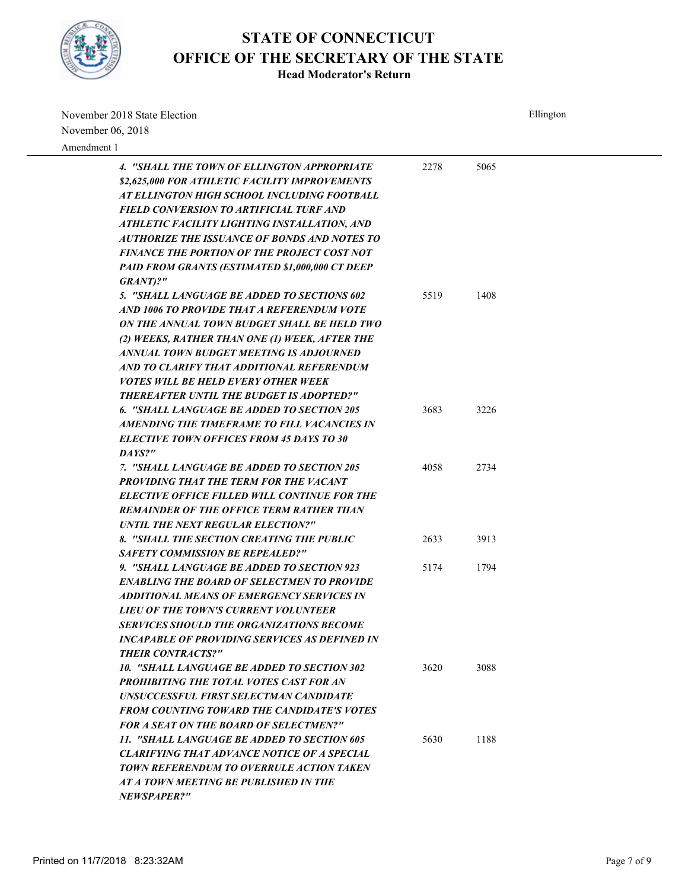

| November 2018 State Election                           |      | Ellington |  |
|--------------------------------------------------------|------|-----------|--|
| November 06, 2018                                      |      |           |  |
| Amendment 1                                            |      |           |  |
| 4. "SHALL THE TOWN OF ELLINGTON APPROPRIATE            | 2278 | 5065      |  |
| \$2,625,000 FOR ATHLETIC FACILITY IMPROVEMENTS         |      |           |  |
| AT ELLINGTON HIGH SCHOOL INCLUDING FOOTBALL            |      |           |  |
| FIELD CONVERSION TO ARTIFICIAL TURF AND                |      |           |  |
| ATHLETIC FACILITY LIGHTING INSTALLATION, AND           |      |           |  |
| AUTHORIZE THE ISSUANCE OF BONDS AND NOTES TO           |      |           |  |
| FINANCE THE PORTION OF THE PROJECT COST NOT            |      |           |  |
| <b>PAID FROM GRANTS (ESTIMATED \$1,000,000 CT DEEP</b> |      |           |  |
| GRANT)?"                                               |      |           |  |
| 5. "SHALL LANGUAGE BE ADDED TO SECTIONS 602            | 5519 | 1408      |  |
| AND 1006 TO PROVIDE THAT A REFERENDUM VOTE             |      |           |  |
| ON THE ANNUAL TOWN BUDGET SHALL BE HELD TWO            |      |           |  |
| (2) WEEKS, RATHER THAN ONE (1) WEEK, AFTER THE         |      |           |  |
| ANNUAL TOWN BUDGET MEETING IS ADJOURNED                |      |           |  |
| AND TO CLARIFY THAT ADDITIONAL REFERENDUM              |      |           |  |
| <i>VOTES WILL BE HELD EVERY OTHER WEEK</i>             |      |           |  |
| <b>THEREAFTER UNTIL THE BUDGET IS ADOPTED?"</b>        |      |           |  |
| 6. "SHALL LANGUAGE BE ADDED TO SECTION 205             | 3683 | 3226      |  |
| AMENDING THE TIMEFRAME TO FILL VACANCIES IN            |      |           |  |
| <b>ELECTIVE TOWN OFFICES FROM 45 DAYS TO 30</b>        |      |           |  |
| DAYS?"                                                 |      |           |  |
| 7. "SHALL LANGUAGE BE ADDED TO SECTION 205             | 4058 | 2734      |  |
| PROVIDING THAT THE TERM FOR THE VACANT                 |      |           |  |
| <b>ELECTIVE OFFICE FILLED WILL CONTINUE FOR THE</b>    |      |           |  |
| <b>REMAINDER OF THE OFFICE TERM RATHER THAN</b>        |      |           |  |
| <b>UNTIL THE NEXT REGULAR ELECTION?"</b>               |      |           |  |
| 8. "SHALL THE SECTION CREATING THE PUBLIC              | 2633 | 3913      |  |
| <b>SAFETY COMMISSION BE REPEALED?"</b>                 |      |           |  |
| 9. "SHALL LANGUAGE BE ADDED TO SECTION 923             | 5174 | 1794      |  |
| <b>ENABLING THE BOARD OF SELECTMEN TO PROVIDE</b>      |      |           |  |
| <b>ADDITIONAL MEANS OF EMERGENCY SERVICES IN</b>       |      |           |  |
| LIEU OF THE TOWN'S CURRENT VOLUNTEER                   |      |           |  |
| SERVICES SHOULD THE ORGANIZATIONS BECOME               |      |           |  |
| <b>INCAPABLE OF PROVIDING SERVICES AS DEFINED IN</b>   |      |           |  |
| <b>THEIR CONTRACTS?"</b>                               |      |           |  |
| 10. "SHALL LANGUAGE BE ADDED TO SECTION 302            | 3620 | 3088      |  |
| <b>PROHIBITING THE TOTAL VOTES CAST FOR AN</b>         |      |           |  |
| UNSUCCESSFUL FIRST SELECTMAN CANDIDATE                 |      |           |  |
| <b>FROM COUNTING TOWARD THE CANDIDATE'S VOTES</b>      |      |           |  |
| <b>FOR A SEAT ON THE BOARD OF SELECTMEN?"</b>          |      |           |  |
| 11. "SHALL LANGUAGE BE ADDED TO SECTION 605            | 5630 | 1188      |  |
| <b>CLARIFYING THAT ADVANCE NOTICE OF A SPECIAL</b>     |      |           |  |
| <b>TOWN REFERENDUM TO OVERRULE ACTION TAKEN</b>        |      |           |  |
| AT A TOWN MEETING BE PUBLISHED IN THE                  |      |           |  |
| <i><b>NEWSPAPER?"</b></i>                              |      |           |  |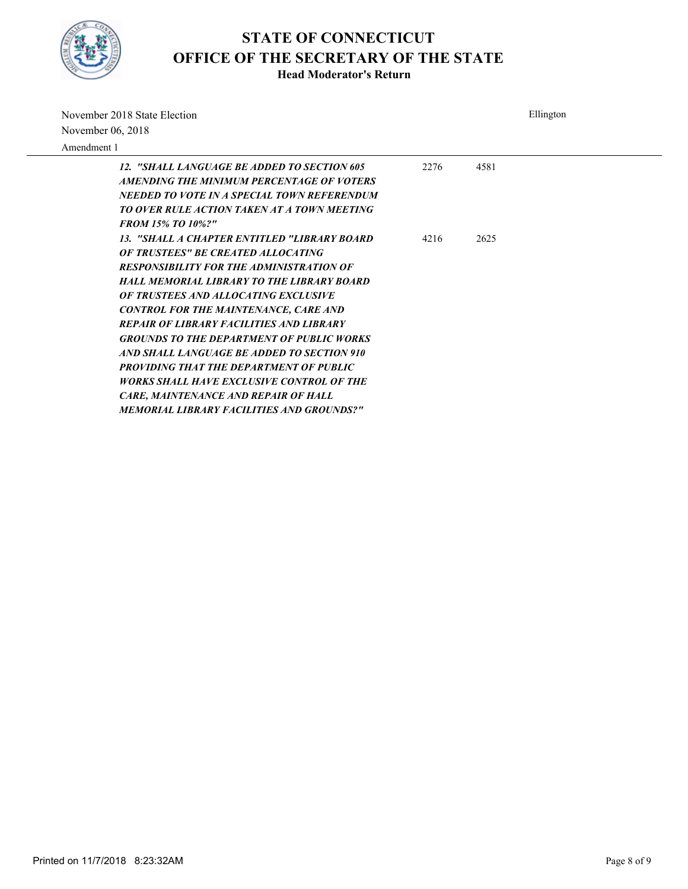

| November 2018 State Election<br>November 06, 2018                                                                                                                                                                                                                                                                                                                                                                                                                                                                                                                                                                                                |      | Ellington |
|--------------------------------------------------------------------------------------------------------------------------------------------------------------------------------------------------------------------------------------------------------------------------------------------------------------------------------------------------------------------------------------------------------------------------------------------------------------------------------------------------------------------------------------------------------------------------------------------------------------------------------------------------|------|-----------|
| Amendment 1                                                                                                                                                                                                                                                                                                                                                                                                                                                                                                                                                                                                                                      |      |           |
| 12. "SHALL LANGUAGE BE ADDED TO SECTION 605<br>AMENDING THE MINIMUM PERCENTAGE OF VOTERS<br>NEEDED TO VOTE IN A SPECIAL TOWN REFERENDUM<br><b>TO OVER RULE ACTION TAKEN AT A TOWN MEETING</b><br><b>FROM 15% TO 10%?"</b>                                                                                                                                                                                                                                                                                                                                                                                                                        | 2276 | 4581      |
| 13. "SHALL A CHAPTER ENTITLED "LIBRARY BOARD<br><b>OF TRUSTEES" BE CREATED ALLOCATING</b><br><b>RESPONSIBILITY FOR THE ADMINISTRATION OF</b><br><b>HALL MEMORIAL LIBRARY TO THE LIBRARY BOARD</b><br>OF TRUSTEES AND ALLOCATING EXCLUSIVE<br><b>CONTROL FOR THE MAINTENANCE, CARE AND</b><br><b>REPAIR OF LIBRARY FACILITIES AND LIBRARY</b><br><b>GROUNDS TO THE DEPARTMENT OF PUBLIC WORKS</b><br>AND SHALL LANGUAGE BE ADDED TO SECTION 910<br><b>PROVIDING THAT THE DEPARTMENT OF PUBLIC</b><br>WORKS SHALL HAVE EXCLUSIVE CONTROL OF THE<br><b>CARE, MAINTENANCE AND REPAIR OF HALL</b><br><b>MEMORIAL LIBRARY FACILITIES AND GROUNDS?"</b> | 4216 | 2625      |